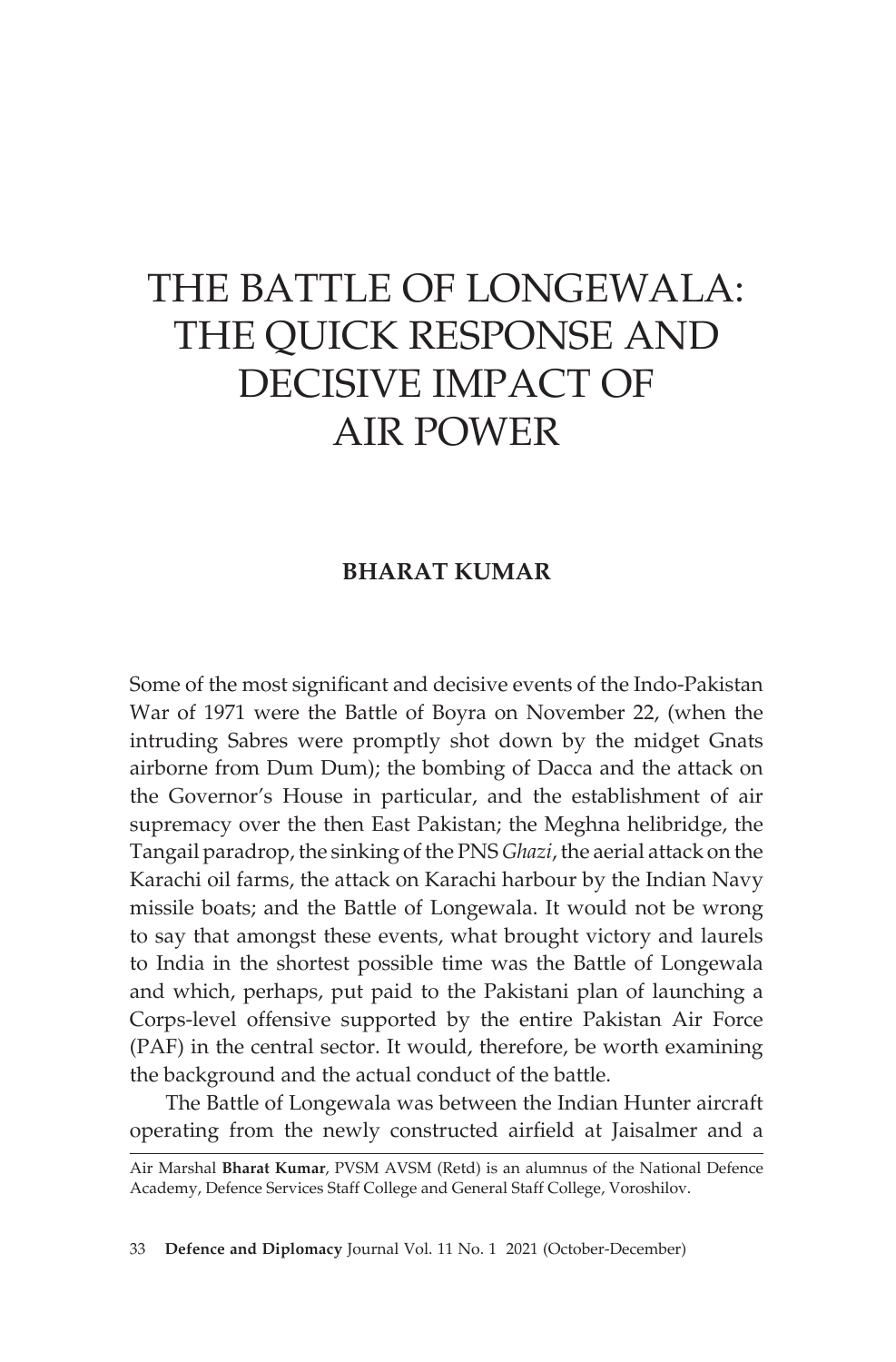## THE BATTLE OF LONGEWALA: THE QUICK RESPONSE AND DECISIVE IMPACT OF AIR POWER

## **BHARAT KUMAR**

Some of the most significant and decisive events of the Indo-Pakistan War of 1971 were the Battle of Boyra on November 22, (when the intruding Sabres were promptly shot down by the midget Gnats airborne from Dum Dum); the bombing of Dacca and the attack on the Governor's House in particular, and the establishment of air supremacy over the then East Pakistan; the Meghna helibridge, the Tangail paradrop, the sinking of the PNS *Ghazi*, the aerial attack on the Karachi oil farms, the attack on Karachi harbour by the Indian Navy missile boats; and the Battle of Longewala. It would not be wrong to say that amongst these events, what brought victory and laurels to India in the shortest possible time was the Battle of Longewala and which, perhaps, put paid to the Pakistani plan of launching a Corps-level offensive supported by the entire Pakistan Air Force (PAF) in the central sector. It would, therefore, be worth examining the background and the actual conduct of the battle.

The Battle of Longewala was between the Indian Hunter aircraft operating from the newly constructed airfield at Jaisalmer and a

33 **Defence and Diplomacy** Journal Vol. 11 No. 1 2021 (October-December)

Air Marshal **Bharat Kumar**, PVSM AVSM (Retd) is an alumnus of the National Defence Academy, Defence Services Staff College and General Staff College, Voroshilov.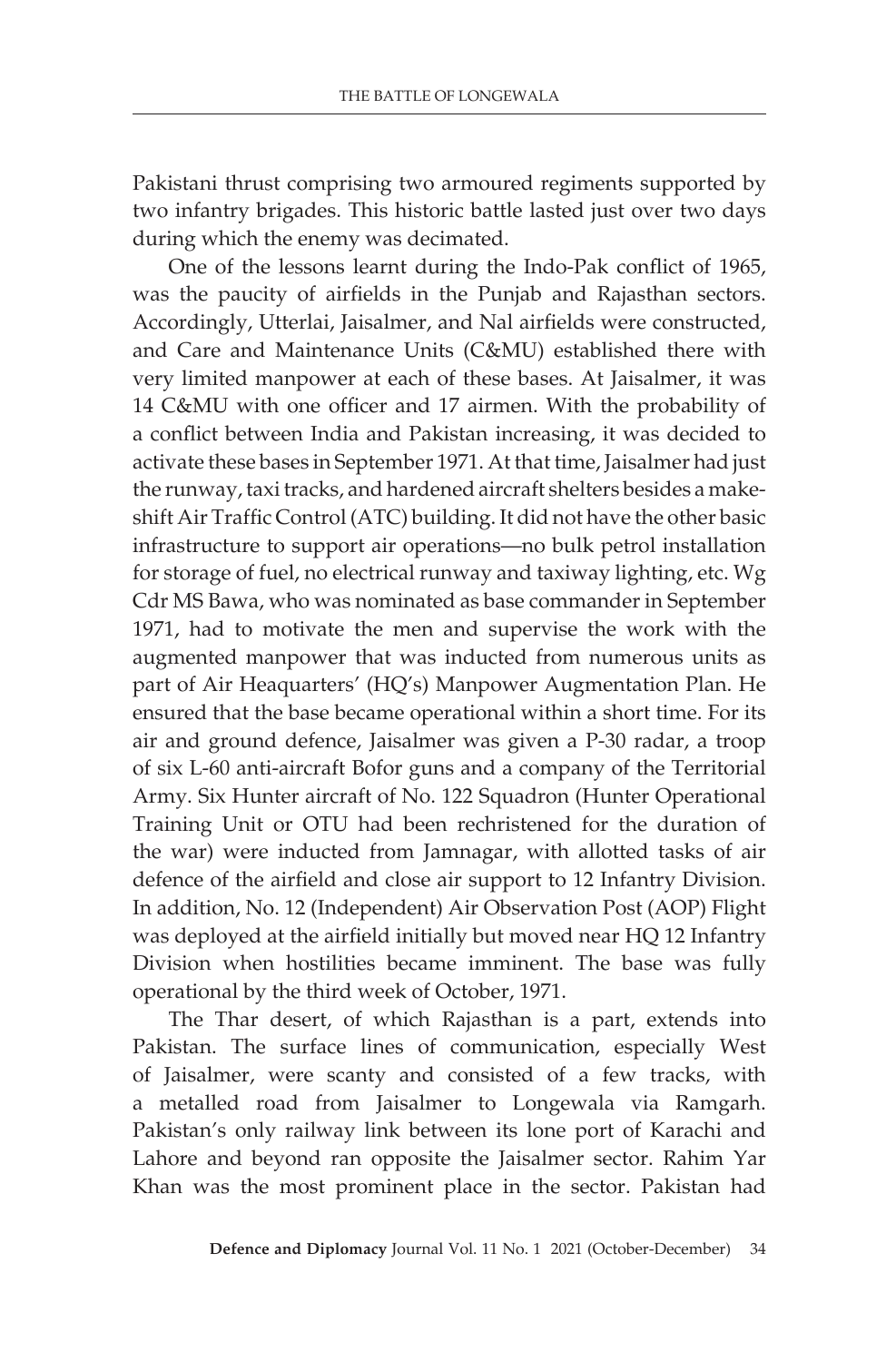Pakistani thrust comprising two armoured regiments supported by two infantry brigades. This historic battle lasted just over two days during which the enemy was decimated.

One of the lessons learnt during the Indo-Pak conflict of 1965, was the paucity of airfields in the Punjab and Rajasthan sectors. Accordingly, Utterlai, Jaisalmer, and Nal airfields were constructed, and Care and Maintenance Units (C&MU) established there with very limited manpower at each of these bases. At Jaisalmer, it was 14 C&MU with one officer and 17 airmen. With the probability of a conflict between India and Pakistan increasing, it was decided to activate these bases in September 1971. At that time, Jaisalmer had just the runway, taxi tracks, and hardened aircraft shelters besides a makeshift Air Traffic Control (ATC) building. It did not have the other basic infrastructure to support air operations—no bulk petrol installation for storage of fuel, no electrical runway and taxiway lighting, etc. Wg Cdr MS Bawa, who was nominated as base commander in September 1971, had to motivate the men and supervise the work with the augmented manpower that was inducted from numerous units as part of Air Heaquarters' (HQ's) Manpower Augmentation Plan. He ensured that the base became operational within a short time. For its air and ground defence, Jaisalmer was given a P-30 radar, a troop of six L-60 anti-aircraft Bofor guns and a company of the Territorial Army. Six Hunter aircraft of No. 122 Squadron (Hunter Operational Training Unit or OTU had been rechristened for the duration of the war) were inducted from Jamnagar, with allotted tasks of air defence of the airfield and close air support to 12 Infantry Division. In addition, No. 12 (Independent) Air Observation Post (AOP) Flight was deployed at the airfield initially but moved near HQ 12 Infantry Division when hostilities became imminent. The base was fully operational by the third week of October, 1971.

The Thar desert, of which Rajasthan is a part, extends into Pakistan. The surface lines of communication, especially West of Jaisalmer, were scanty and consisted of a few tracks, with a metalled road from Jaisalmer to Longewala via Ramgarh. Pakistan's only railway link between its lone port of Karachi and Lahore and beyond ran opposite the Jaisalmer sector. Rahim Yar Khan was the most prominent place in the sector. Pakistan had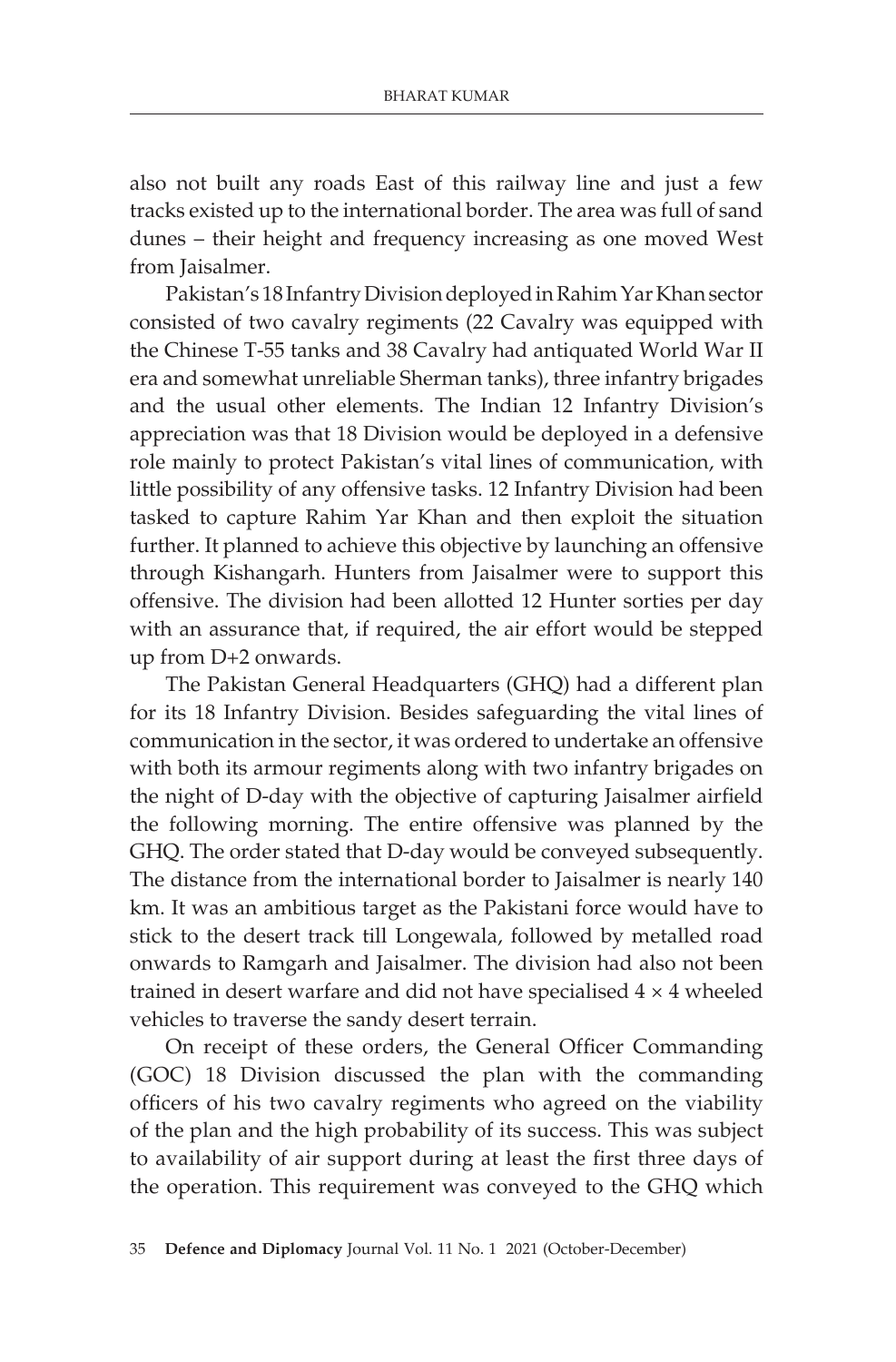also not built any roads East of this railway line and just a few tracks existed up to the international border. The area was full of sand dunes – their height and frequency increasing as one moved West from Jaisalmer.

Pakistan's 18 Infantry Division deployed in Rahim Yar Khan sector consisted of two cavalry regiments (22 Cavalry was equipped with the Chinese T-55 tanks and 38 Cavalry had antiquated World War II era and somewhat unreliable Sherman tanks), three infantry brigades and the usual other elements. The Indian 12 Infantry Division's appreciation was that 18 Division would be deployed in a defensive role mainly to protect Pakistan's vital lines of communication, with little possibility of any offensive tasks. 12 Infantry Division had been tasked to capture Rahim Yar Khan and then exploit the situation further. It planned to achieve this objective by launching an offensive through Kishangarh. Hunters from Jaisalmer were to support this offensive. The division had been allotted 12 Hunter sorties per day with an assurance that, if required, the air effort would be stepped up from D+2 onwards.

The Pakistan General Headquarters (GHQ) had a different plan for its 18 Infantry Division. Besides safeguarding the vital lines of communication in the sector, it was ordered to undertake an offensive with both its armour regiments along with two infantry brigades on the night of D-day with the objective of capturing Jaisalmer airfield the following morning. The entire offensive was planned by the GHQ. The order stated that D-day would be conveyed subsequently. The distance from the international border to Jaisalmer is nearly 140 km. It was an ambitious target as the Pakistani force would have to stick to the desert track till Longewala, followed by metalled road onwards to Ramgarh and Jaisalmer. The division had also not been trained in desert warfare and did not have specialised 4 × 4 wheeled vehicles to traverse the sandy desert terrain.

On receipt of these orders, the General Officer Commanding (GOC) 18 Division discussed the plan with the commanding officers of his two cavalry regiments who agreed on the viability of the plan and the high probability of its success. This was subject to availability of air support during at least the first three days of the operation. This requirement was conveyed to the GHQ which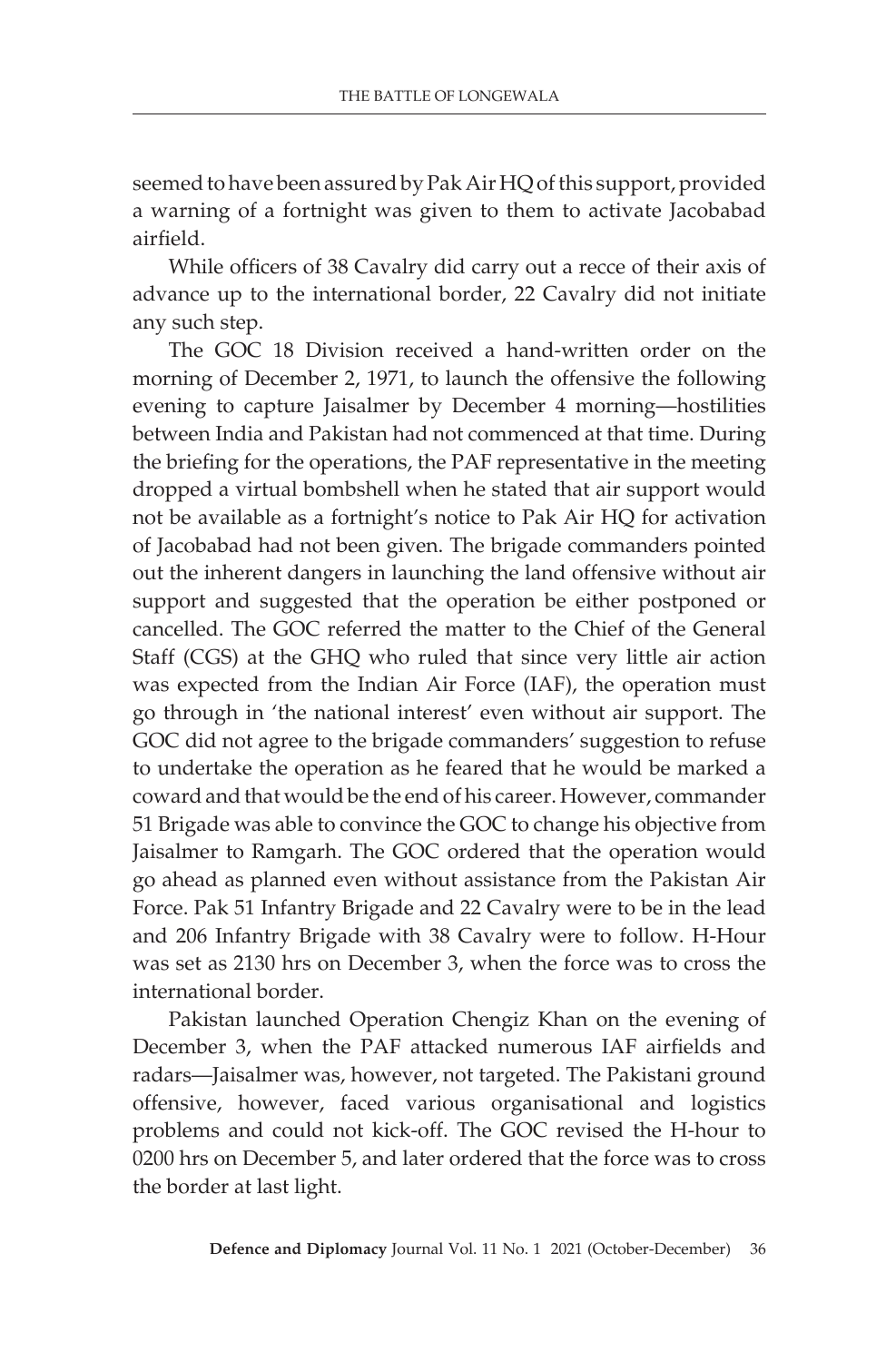seemed to have been assured by Pak Air HQ of this support, provided a warning of a fortnight was given to them to activate Jacobabad airfield.

While officers of 38 Cavalry did carry out a recce of their axis of advance up to the international border, 22 Cavalry did not initiate any such step.

The GOC 18 Division received a hand-written order on the morning of December 2, 1971, to launch the offensive the following evening to capture Jaisalmer by December 4 morning—hostilities between India and Pakistan had not commenced at that time. During the briefing for the operations, the PAF representative in the meeting dropped a virtual bombshell when he stated that air support would not be available as a fortnight's notice to Pak Air HQ for activation of Jacobabad had not been given. The brigade commanders pointed out the inherent dangers in launching the land offensive without air support and suggested that the operation be either postponed or cancelled. The GOC referred the matter to the Chief of the General Staff (CGS) at the GHQ who ruled that since very little air action was expected from the Indian Air Force (IAF), the operation must go through in 'the national interest' even without air support. The GOC did not agree to the brigade commanders' suggestion to refuse to undertake the operation as he feared that he would be marked a coward and that would be the end of his career. However, commander 51 Brigade was able to convince the GOC to change his objective from Jaisalmer to Ramgarh. The GOC ordered that the operation would go ahead as planned even without assistance from the Pakistan Air Force. Pak 51 Infantry Brigade and 22 Cavalry were to be in the lead and 206 Infantry Brigade with 38 Cavalry were to follow. H-Hour was set as 2130 hrs on December 3, when the force was to cross the international border.

Pakistan launched Operation Chengiz Khan on the evening of December 3, when the PAF attacked numerous IAF airfields and radars—Jaisalmer was, however, not targeted. The Pakistani ground offensive, however, faced various organisational and logistics problems and could not kick-off. The GOC revised the H-hour to 0200 hrs on December 5, and later ordered that the force was to cross the border at last light.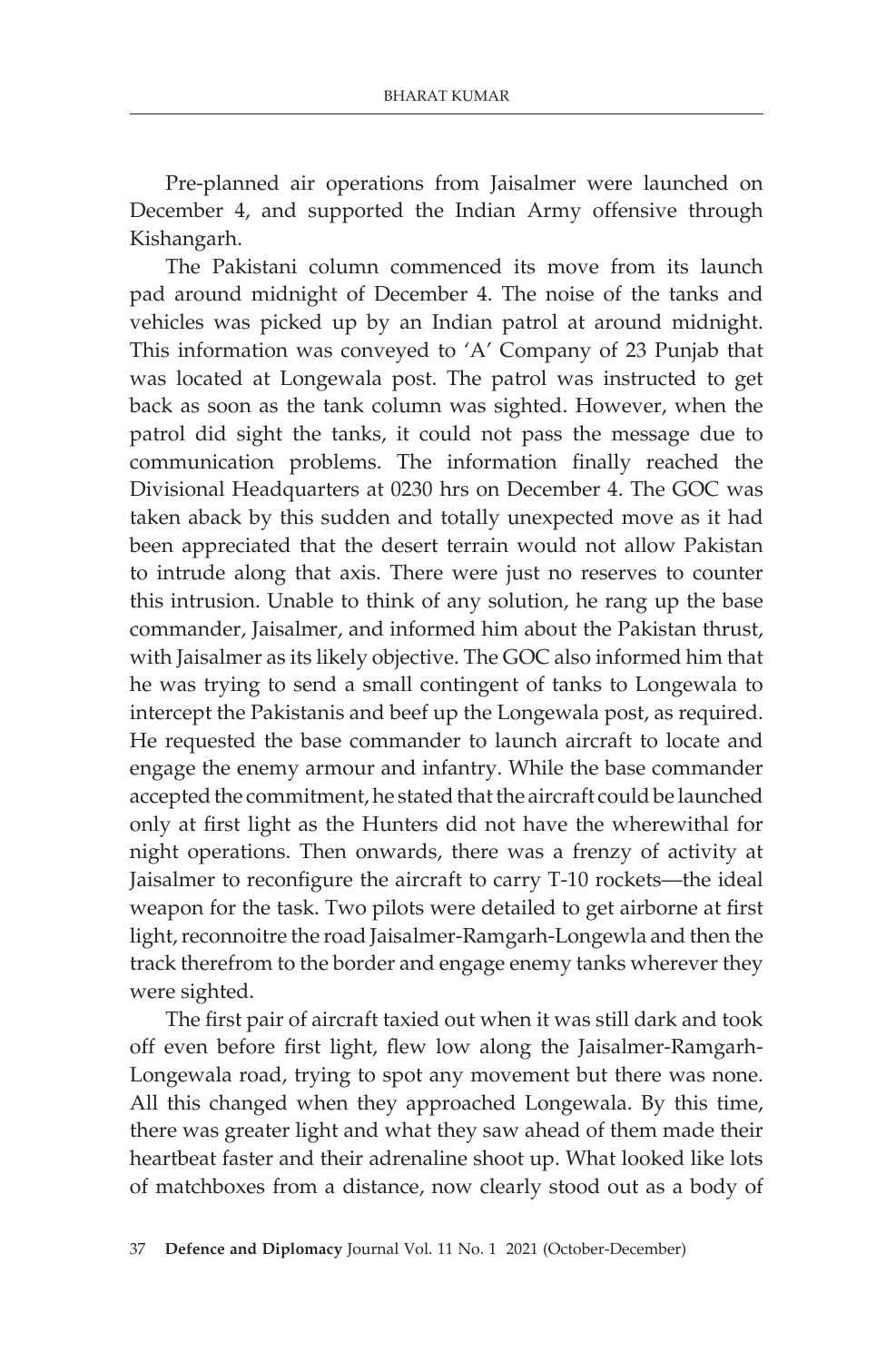Pre-planned air operations from Jaisalmer were launched on December 4, and supported the Indian Army offensive through Kishangarh.

The Pakistani column commenced its move from its launch pad around midnight of December 4. The noise of the tanks and vehicles was picked up by an Indian patrol at around midnight. This information was conveyed to 'A' Company of 23 Punjab that was located at Longewala post. The patrol was instructed to get back as soon as the tank column was sighted. However, when the patrol did sight the tanks, it could not pass the message due to communication problems. The information finally reached the Divisional Headquarters at 0230 hrs on December 4. The GOC was taken aback by this sudden and totally unexpected move as it had been appreciated that the desert terrain would not allow Pakistan to intrude along that axis. There were just no reserves to counter this intrusion. Unable to think of any solution, he rang up the base commander, Jaisalmer, and informed him about the Pakistan thrust, with Jaisalmer as its likely objective. The GOC also informed him that he was trying to send a small contingent of tanks to Longewala to intercept the Pakistanis and beef up the Longewala post, as required. He requested the base commander to launch aircraft to locate and engage the enemy armour and infantry. While the base commander accepted the commitment, he stated that the aircraft could be launched only at first light as the Hunters did not have the wherewithal for night operations. Then onwards, there was a frenzy of activity at Jaisalmer to reconfigure the aircraft to carry T-10 rockets—the ideal weapon for the task. Two pilots were detailed to get airborne at first light, reconnoitre the road Jaisalmer-Ramgarh-Longewla and then the track therefrom to the border and engage enemy tanks wherever they were sighted.

The first pair of aircraft taxied out when it was still dark and took off even before first light, flew low along the Jaisalmer-Ramgarh-Longewala road, trying to spot any movement but there was none. All this changed when they approached Longewala. By this time, there was greater light and what they saw ahead of them made their heartbeat faster and their adrenaline shoot up. What looked like lots of matchboxes from a distance, now clearly stood out as a body of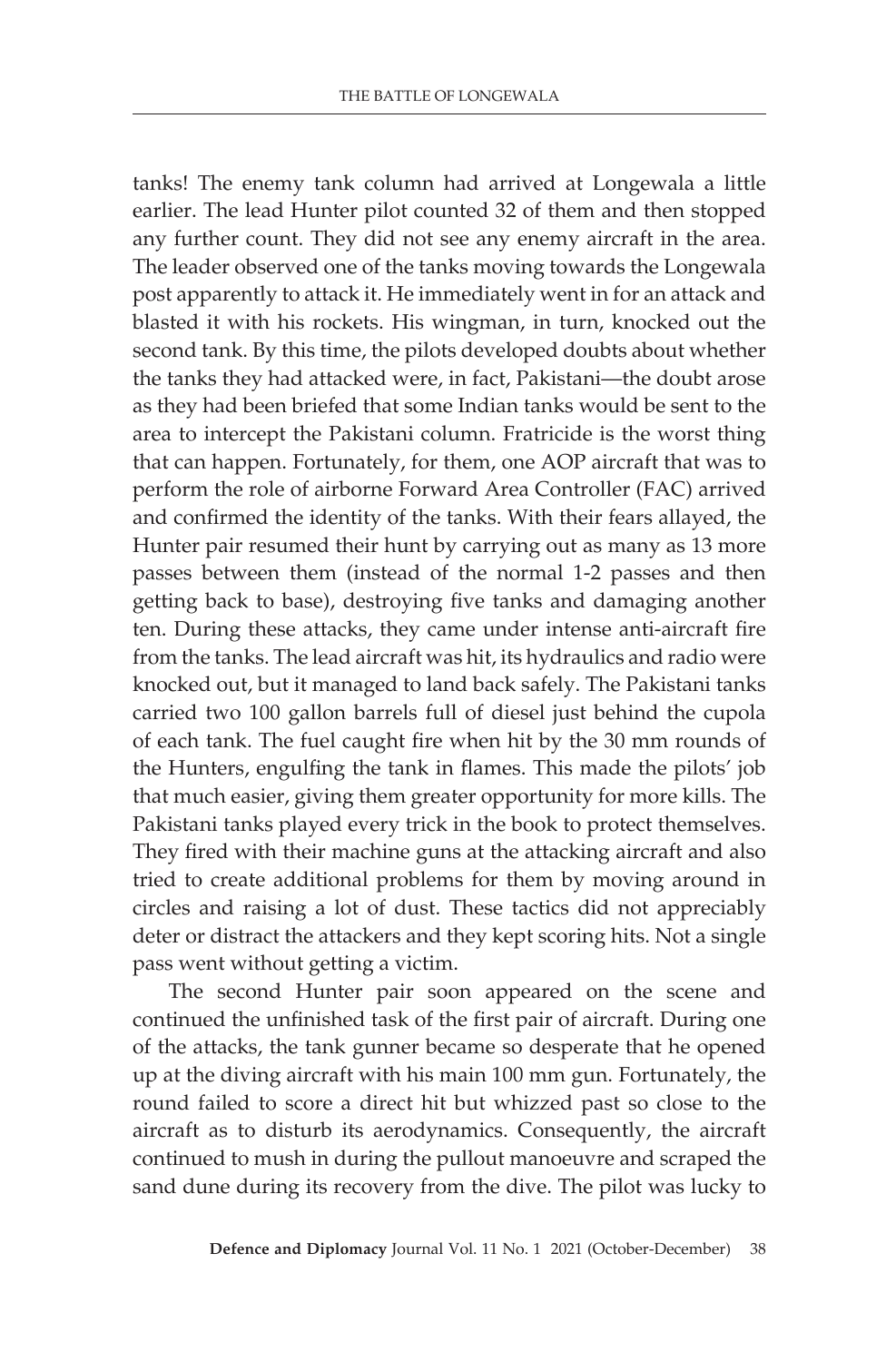tanks! The enemy tank column had arrived at Longewala a little earlier. The lead Hunter pilot counted 32 of them and then stopped any further count. They did not see any enemy aircraft in the area. The leader observed one of the tanks moving towards the Longewala post apparently to attack it. He immediately went in for an attack and blasted it with his rockets. His wingman, in turn, knocked out the second tank. By this time, the pilots developed doubts about whether the tanks they had attacked were, in fact, Pakistani—the doubt arose as they had been briefed that some Indian tanks would be sent to the area to intercept the Pakistani column. Fratricide is the worst thing that can happen. Fortunately, for them, one AOP aircraft that was to perform the role of airborne Forward Area Controller (FAC) arrived and confirmed the identity of the tanks. With their fears allayed, the Hunter pair resumed their hunt by carrying out as many as 13 more passes between them (instead of the normal 1-2 passes and then getting back to base), destroying five tanks and damaging another ten. During these attacks, they came under intense anti-aircraft fire from the tanks. The lead aircraft was hit, its hydraulics and radio were knocked out, but it managed to land back safely. The Pakistani tanks carried two 100 gallon barrels full of diesel just behind the cupola of each tank. The fuel caught fire when hit by the 30 mm rounds of the Hunters, engulfing the tank in flames. This made the pilots' job that much easier, giving them greater opportunity for more kills. The Pakistani tanks played every trick in the book to protect themselves. They fired with their machine guns at the attacking aircraft and also tried to create additional problems for them by moving around in circles and raising a lot of dust. These tactics did not appreciably deter or distract the attackers and they kept scoring hits. Not a single pass went without getting a victim.

The second Hunter pair soon appeared on the scene and continued the unfinished task of the first pair of aircraft. During one of the attacks, the tank gunner became so desperate that he opened up at the diving aircraft with his main 100 mm gun. Fortunately, the round failed to score a direct hit but whizzed past so close to the aircraft as to disturb its aerodynamics. Consequently, the aircraft continued to mush in during the pullout manoeuvre and scraped the sand dune during its recovery from the dive. The pilot was lucky to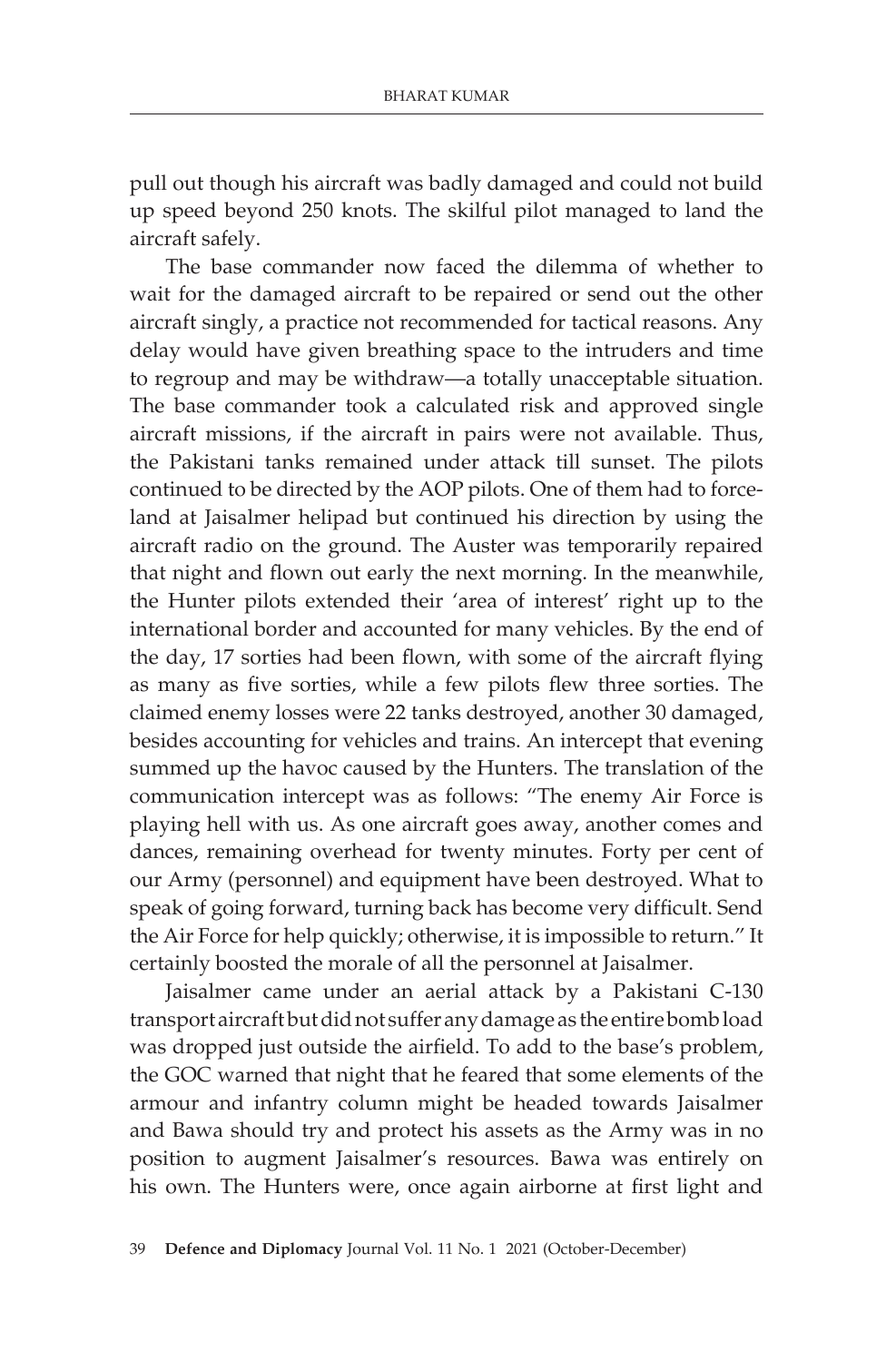pull out though his aircraft was badly damaged and could not build up speed beyond 250 knots. The skilful pilot managed to land the aircraft safely.

The base commander now faced the dilemma of whether to wait for the damaged aircraft to be repaired or send out the other aircraft singly, a practice not recommended for tactical reasons. Any delay would have given breathing space to the intruders and time to regroup and may be withdraw—a totally unacceptable situation. The base commander took a calculated risk and approved single aircraft missions, if the aircraft in pairs were not available. Thus, the Pakistani tanks remained under attack till sunset. The pilots continued to be directed by the AOP pilots. One of them had to forceland at Jaisalmer helipad but continued his direction by using the aircraft radio on the ground. The Auster was temporarily repaired that night and flown out early the next morning. In the meanwhile, the Hunter pilots extended their 'area of interest' right up to the international border and accounted for many vehicles. By the end of the day, 17 sorties had been flown, with some of the aircraft flying as many as five sorties, while a few pilots flew three sorties. The claimed enemy losses were 22 tanks destroyed, another 30 damaged, besides accounting for vehicles and trains. An intercept that evening summed up the havoc caused by the Hunters. The translation of the communication intercept was as follows: "The enemy Air Force is playing hell with us. As one aircraft goes away, another comes and dances, remaining overhead for twenty minutes. Forty per cent of our Army (personnel) and equipment have been destroyed. What to speak of going forward, turning back has become very difficult. Send the Air Force for help quickly; otherwise, it is impossible to return." It certainly boosted the morale of all the personnel at Jaisalmer.

Jaisalmer came under an aerial attack by a Pakistani C-130 transport aircraft but did not suffer any damage as the entire bomb load was dropped just outside the airfield. To add to the base's problem, the GOC warned that night that he feared that some elements of the armour and infantry column might be headed towards Jaisalmer and Bawa should try and protect his assets as the Army was in no position to augment Jaisalmer's resources. Bawa was entirely on his own. The Hunters were, once again airborne at first light and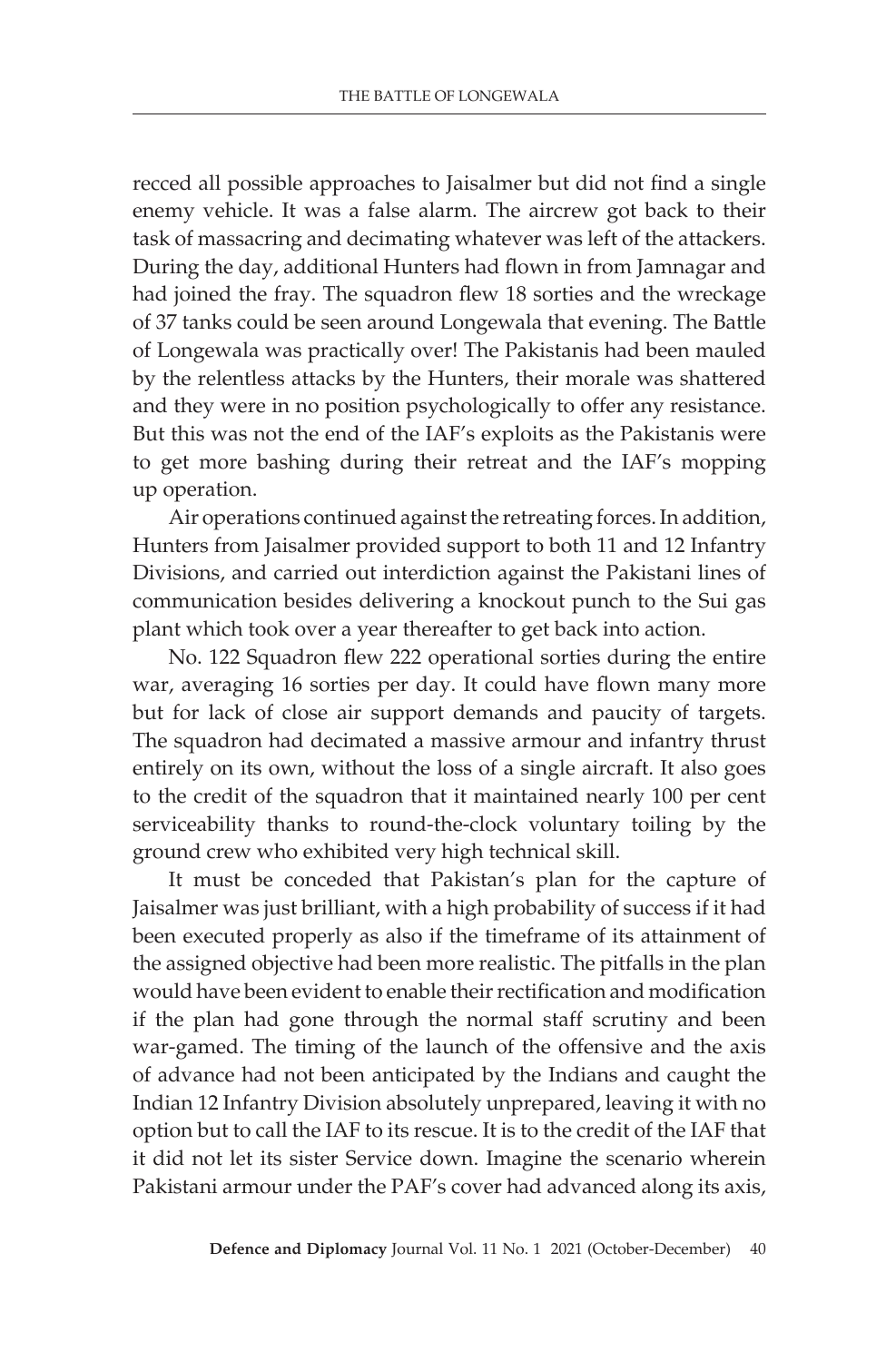recced all possible approaches to Jaisalmer but did not find a single enemy vehicle. It was a false alarm. The aircrew got back to their task of massacring and decimating whatever was left of the attackers. During the day, additional Hunters had flown in from Jamnagar and had joined the fray. The squadron flew 18 sorties and the wreckage of 37 tanks could be seen around Longewala that evening. The Battle of Longewala was practically over! The Pakistanis had been mauled by the relentless attacks by the Hunters, their morale was shattered and they were in no position psychologically to offer any resistance. But this was not the end of the IAF's exploits as the Pakistanis were to get more bashing during their retreat and the IAF's mopping up operation.

Air operations continued against the retreating forces. In addition, Hunters from Jaisalmer provided support to both 11 and 12 Infantry Divisions, and carried out interdiction against the Pakistani lines of communication besides delivering a knockout punch to the Sui gas plant which took over a year thereafter to get back into action.

No. 122 Squadron flew 222 operational sorties during the entire war, averaging 16 sorties per day. It could have flown many more but for lack of close air support demands and paucity of targets. The squadron had decimated a massive armour and infantry thrust entirely on its own, without the loss of a single aircraft. It also goes to the credit of the squadron that it maintained nearly 100 per cent serviceability thanks to round-the-clock voluntary toiling by the ground crew who exhibited very high technical skill.

It must be conceded that Pakistan's plan for the capture of Jaisalmer was just brilliant, with a high probability of success if it had been executed properly as also if the timeframe of its attainment of the assigned objective had been more realistic. The pitfalls in the plan would have been evident to enable their rectification and modification if the plan had gone through the normal staff scrutiny and been war-gamed. The timing of the launch of the offensive and the axis of advance had not been anticipated by the Indians and caught the Indian 12 Infantry Division absolutely unprepared, leaving it with no option but to call the IAF to its rescue. It is to the credit of the IAF that it did not let its sister Service down. Imagine the scenario wherein Pakistani armour under the PAF's cover had advanced along its axis,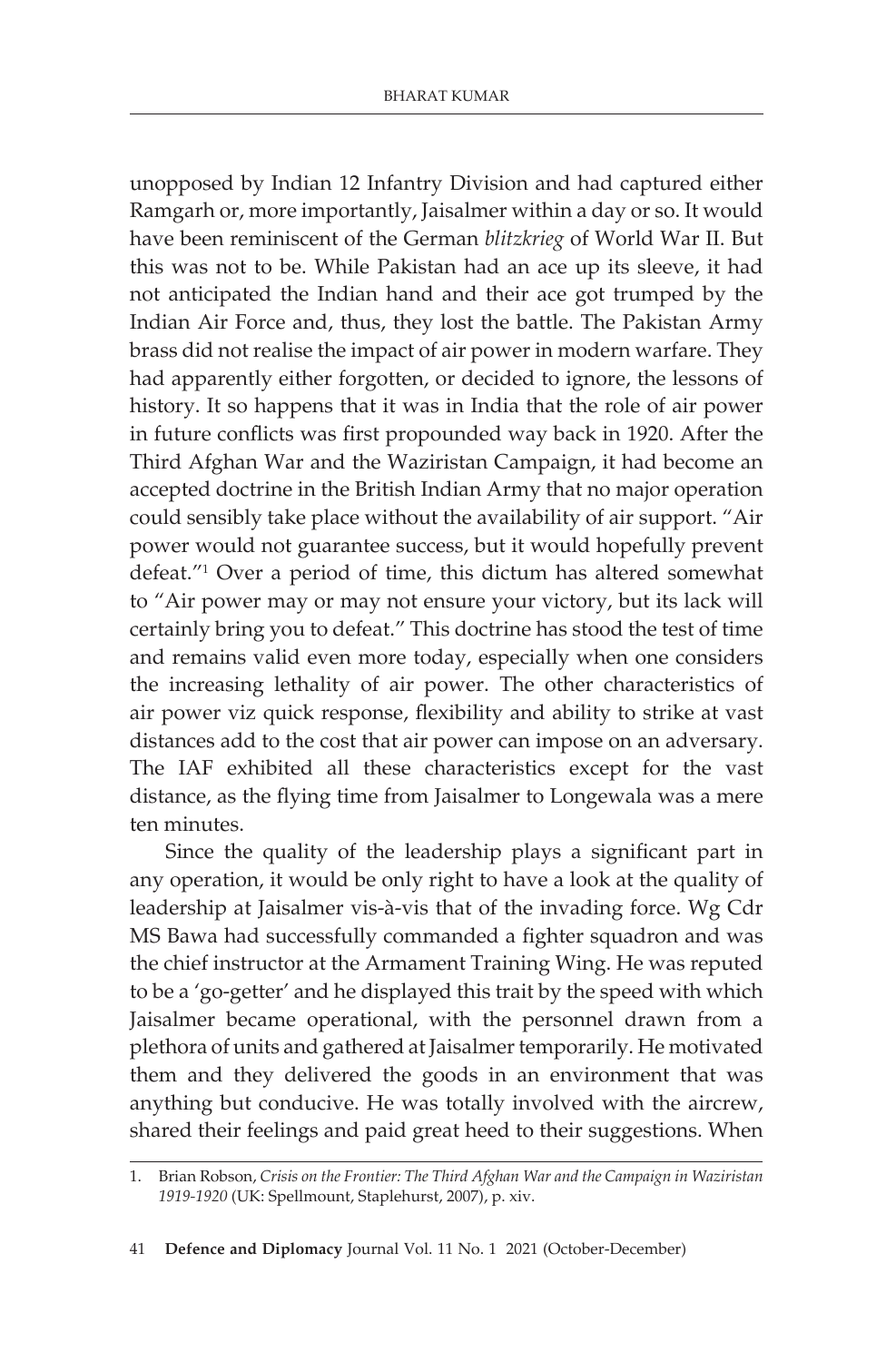unopposed by Indian 12 Infantry Division and had captured either Ramgarh or, more importantly, Jaisalmer within a day or so. It would have been reminiscent of the German *blitzkrieg* of World War II. But this was not to be. While Pakistan had an ace up its sleeve, it had not anticipated the Indian hand and their ace got trumped by the Indian Air Force and, thus, they lost the battle. The Pakistan Army brass did not realise the impact of air power in modern warfare. They had apparently either forgotten, or decided to ignore, the lessons of history. It so happens that it was in India that the role of air power in future conflicts was first propounded way back in 1920. After the Third Afghan War and the Waziristan Campaign, it had become an accepted doctrine in the British Indian Army that no major operation could sensibly take place without the availability of air support. "Air power would not guarantee success, but it would hopefully prevent defeat."1 Over a period of time, this dictum has altered somewhat to "Air power may or may not ensure your victory, but its lack will certainly bring you to defeat." This doctrine has stood the test of time and remains valid even more today, especially when one considers the increasing lethality of air power. The other characteristics of air power viz quick response, flexibility and ability to strike at vast distances add to the cost that air power can impose on an adversary. The IAF exhibited all these characteristics except for the vast distance, as the flying time from Jaisalmer to Longewala was a mere ten minutes.

Since the quality of the leadership plays a significant part in any operation, it would be only right to have a look at the quality of leadership at Jaisalmer vis-à-vis that of the invading force. Wg Cdr MS Bawa had successfully commanded a fighter squadron and was the chief instructor at the Armament Training Wing. He was reputed to be a 'go-getter' and he displayed this trait by the speed with which Jaisalmer became operational, with the personnel drawn from a plethora of units and gathered at Jaisalmer temporarily. He motivated them and they delivered the goods in an environment that was anything but conducive. He was totally involved with the aircrew, shared their feelings and paid great heed to their suggestions. When

<sup>1.</sup> Brian Robson, *Crisis on the Frontier: The Third Afghan War and the Campaign in Waziristan 1919-1920* (UK: Spellmount, Staplehurst, 2007), p. xiv.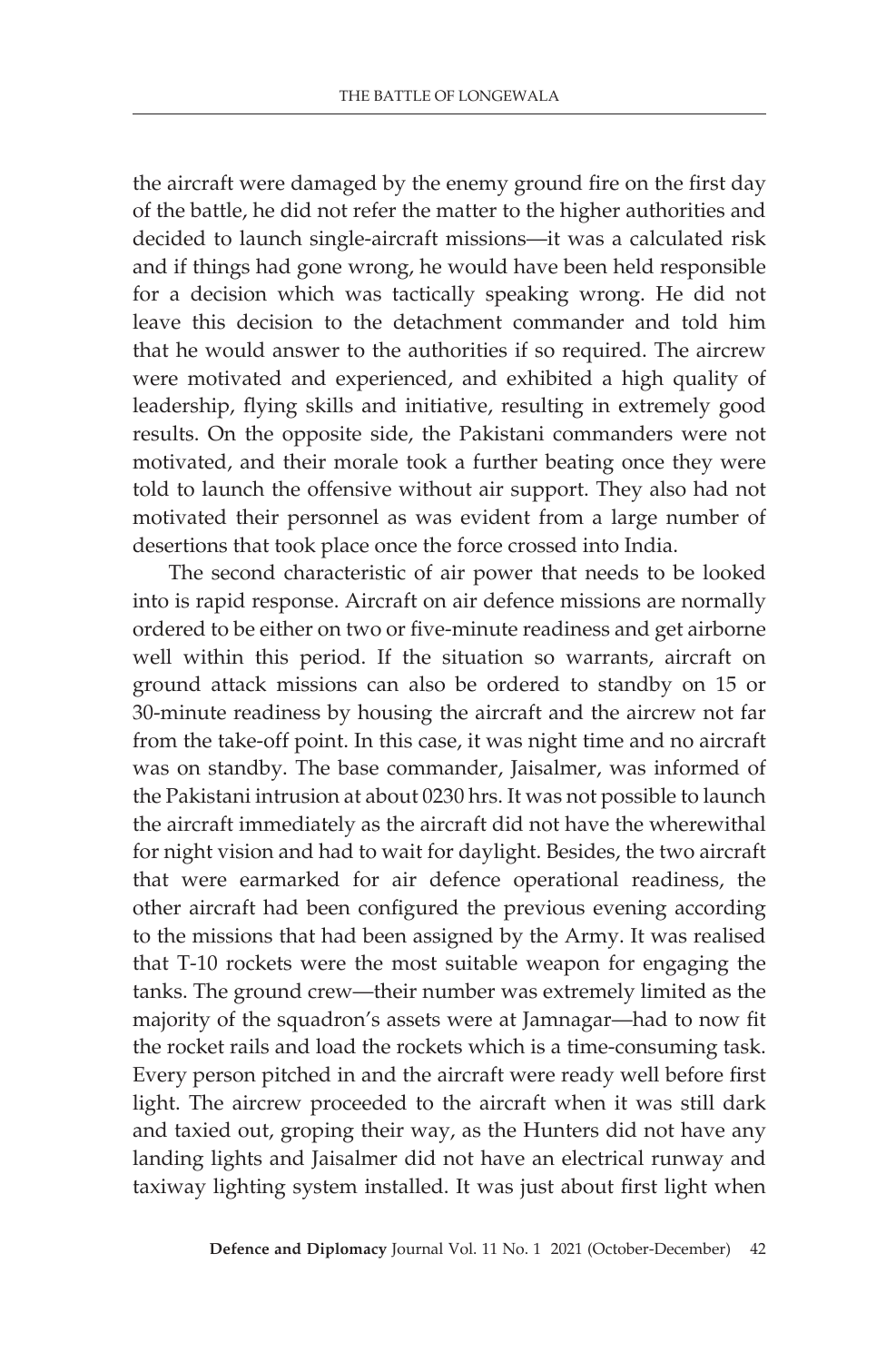the aircraft were damaged by the enemy ground fire on the first day of the battle, he did not refer the matter to the higher authorities and decided to launch single-aircraft missions—it was a calculated risk and if things had gone wrong, he would have been held responsible for a decision which was tactically speaking wrong. He did not leave this decision to the detachment commander and told him that he would answer to the authorities if so required. The aircrew were motivated and experienced, and exhibited a high quality of leadership, flying skills and initiative, resulting in extremely good results. On the opposite side, the Pakistani commanders were not motivated, and their morale took a further beating once they were told to launch the offensive without air support. They also had not motivated their personnel as was evident from a large number of desertions that took place once the force crossed into India.

The second characteristic of air power that needs to be looked into is rapid response. Aircraft on air defence missions are normally ordered to be either on two or five-minute readiness and get airborne well within this period. If the situation so warrants, aircraft on ground attack missions can also be ordered to standby on 15 or 30-minute readiness by housing the aircraft and the aircrew not far from the take-off point. In this case, it was night time and no aircraft was on standby. The base commander, Jaisalmer, was informed of the Pakistani intrusion at about 0230 hrs. It was not possible to launch the aircraft immediately as the aircraft did not have the wherewithal for night vision and had to wait for daylight. Besides, the two aircraft that were earmarked for air defence operational readiness, the other aircraft had been configured the previous evening according to the missions that had been assigned by the Army. It was realised that T-10 rockets were the most suitable weapon for engaging the tanks. The ground crew—their number was extremely limited as the majority of the squadron's assets were at Jamnagar—had to now fit the rocket rails and load the rockets which is a time-consuming task. Every person pitched in and the aircraft were ready well before first light. The aircrew proceeded to the aircraft when it was still dark and taxied out, groping their way, as the Hunters did not have any landing lights and Jaisalmer did not have an electrical runway and taxiway lighting system installed. It was just about first light when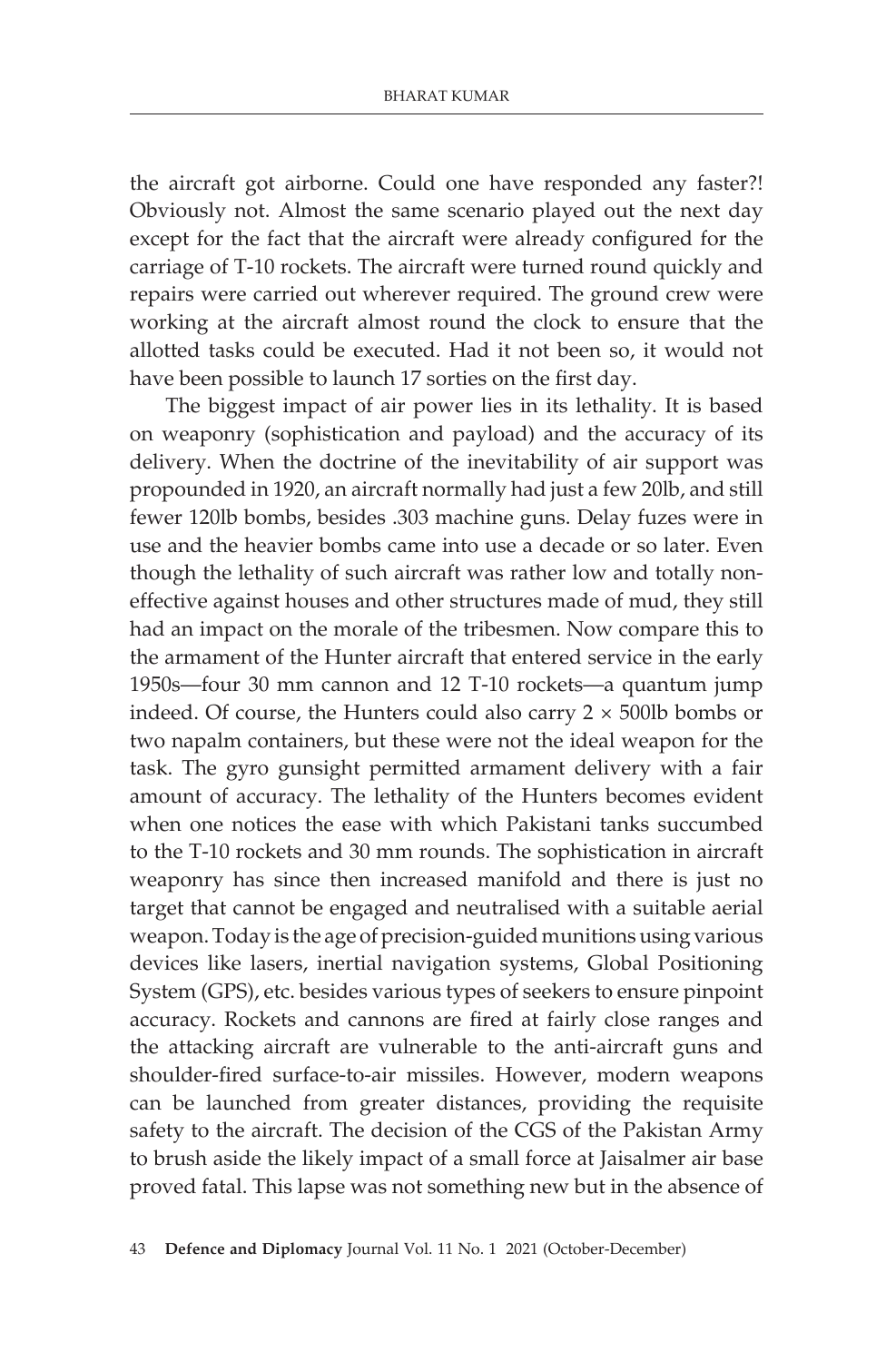the aircraft got airborne. Could one have responded any faster?! Obviously not. Almost the same scenario played out the next day except for the fact that the aircraft were already configured for the carriage of T-10 rockets. The aircraft were turned round quickly and repairs were carried out wherever required. The ground crew were working at the aircraft almost round the clock to ensure that the allotted tasks could be executed. Had it not been so, it would not have been possible to launch 17 sorties on the first day.

The biggest impact of air power lies in its lethality. It is based on weaponry (sophistication and payload) and the accuracy of its delivery. When the doctrine of the inevitability of air support was propounded in 1920, an aircraft normally had just a few 20lb, and still fewer 120lb bombs, besides .303 machine guns. Delay fuzes were in use and the heavier bombs came into use a decade or so later. Even though the lethality of such aircraft was rather low and totally noneffective against houses and other structures made of mud, they still had an impact on the morale of the tribesmen. Now compare this to the armament of the Hunter aircraft that entered service in the early 1950s—four 30 mm cannon and 12 T-10 rockets—a quantum jump indeed. Of course, the Hunters could also carry  $2 \times 500$ lb bombs or two napalm containers, but these were not the ideal weapon for the task. The gyro gunsight permitted armament delivery with a fair amount of accuracy. The lethality of the Hunters becomes evident when one notices the ease with which Pakistani tanks succumbed to the T-10 rockets and 30 mm rounds. The sophistication in aircraft weaponry has since then increased manifold and there is just no target that cannot be engaged and neutralised with a suitable aerial weapon. Today is the age of precision-guided munitions using various devices like lasers, inertial navigation systems, Global Positioning System (GPS), etc. besides various types of seekers to ensure pinpoint accuracy. Rockets and cannons are fired at fairly close ranges and the attacking aircraft are vulnerable to the anti-aircraft guns and shoulder-fired surface-to-air missiles. However, modern weapons can be launched from greater distances, providing the requisite safety to the aircraft. The decision of the CGS of the Pakistan Army to brush aside the likely impact of a small force at Jaisalmer air base proved fatal. This lapse was not something new but in the absence of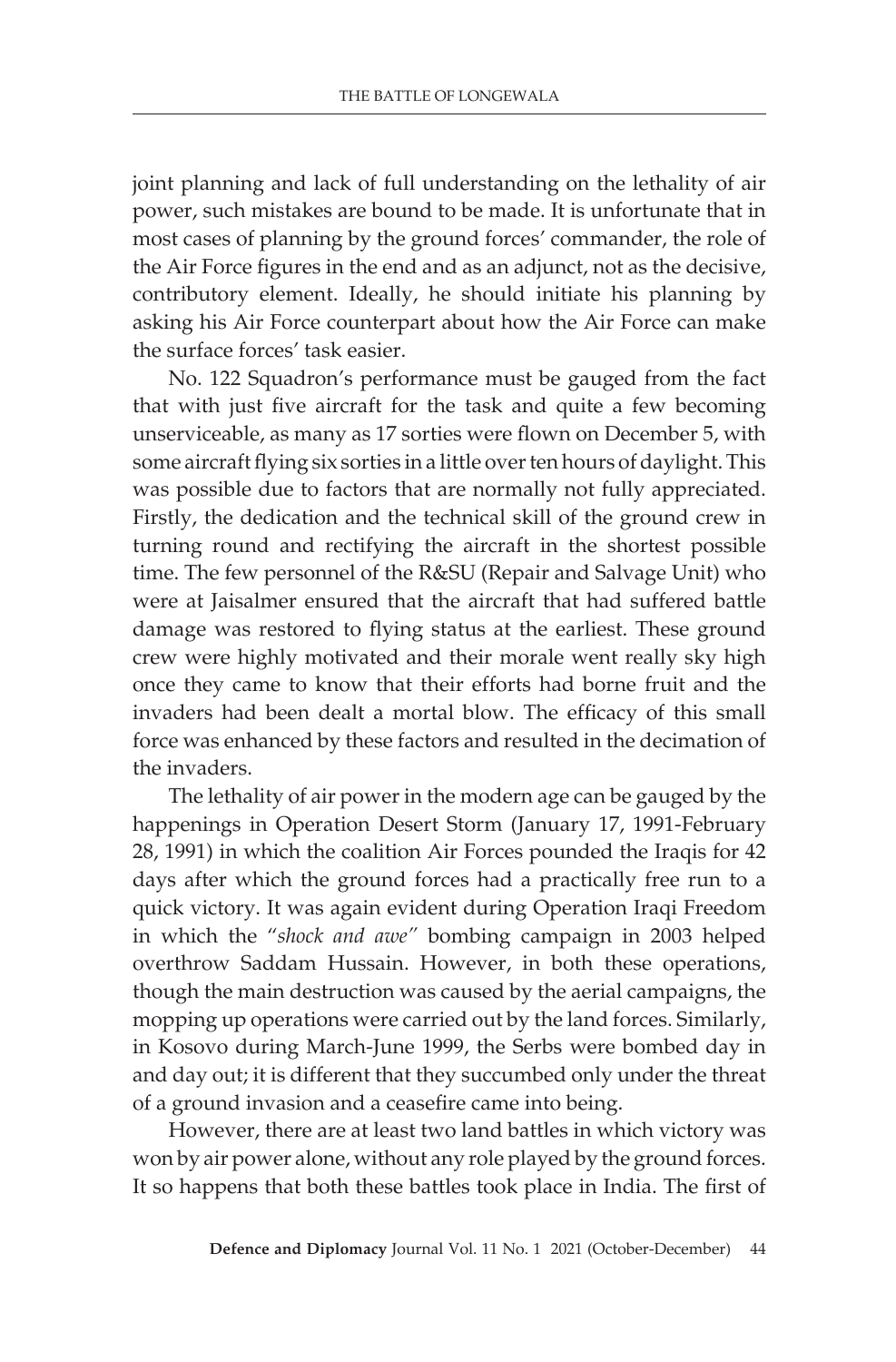joint planning and lack of full understanding on the lethality of air power, such mistakes are bound to be made. It is unfortunate that in most cases of planning by the ground forces' commander, the role of the Air Force figures in the end and as an adjunct, not as the decisive, contributory element. Ideally, he should initiate his planning by asking his Air Force counterpart about how the Air Force can make the surface forces' task easier.

No. 122 Squadron's performance must be gauged from the fact that with just five aircraft for the task and quite a few becoming unserviceable, as many as 17 sorties were flown on December 5, with some aircraft flying six sorties in a little over ten hours of daylight. This was possible due to factors that are normally not fully appreciated. Firstly, the dedication and the technical skill of the ground crew in turning round and rectifying the aircraft in the shortest possible time. The few personnel of the R&SU (Repair and Salvage Unit) who were at Jaisalmer ensured that the aircraft that had suffered battle damage was restored to flying status at the earliest. These ground crew were highly motivated and their morale went really sky high once they came to know that their efforts had borne fruit and the invaders had been dealt a mortal blow. The efficacy of this small force was enhanced by these factors and resulted in the decimation of the invaders.

The lethality of air power in the modern age can be gauged by the happenings in Operation Desert Storm (January 17, 1991-February 28, 1991) in which the coalition Air Forces pounded the Iraqis for 42 days after which the ground forces had a practically free run to a quick victory. It was again evident during Operation Iraqi Freedom in which the "*shock and awe"* bombing campaign in 2003 helped overthrow Saddam Hussain. However, in both these operations, though the main destruction was caused by the aerial campaigns, the mopping up operations were carried out by the land forces. Similarly, in Kosovo during March-June 1999, the Serbs were bombed day in and day out; it is different that they succumbed only under the threat of a ground invasion and a ceasefire came into being.

However, there are at least two land battles in which victory was won by air power alone, without any role played by the ground forces. It so happens that both these battles took place in India. The first of